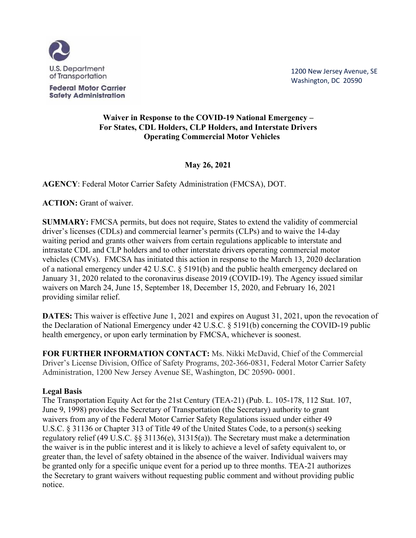

**Federal Motor Carrier Safety Administration**  1200 New Jersey Avenue, SE Washington, DC 20590

## **Waiver in Response to the COVID-19 National Emergency – For States, CDL Holders, CLP Holders, and Interstate Drivers Operating Commercial Motor Vehicles**

**May 26, 2021**

**AGENCY**: Federal Motor Carrier Safety Administration (FMCSA), DOT.

**ACTION:** Grant of waiver.

**SUMMARY:** FMCSA permits, but does not require, States to extend the validity of commercial driver's licenses (CDLs) and commercial learner's permits (CLPs) and to waive the 14-day waiting period and grants other waivers from certain regulations applicable to interstate and intrastate CDL and CLP holders and to other interstate drivers operating commercial motor vehicles (CMVs). FMCSA has initiated this action in response to the March 13, 2020 declaration of a national emergency under 42 U.S.C. § 5191(b) and the public health emergency declared on January 31, 2020 related to the coronavirus disease 2019 (COVID-19). The Agency issued similar waivers on March 24, June 15, September 18, December 15, 2020, and February 16, 2021 providing similar relief.

**DATES:** This waiver is effective June 1, 2021 and expires on August 31, 2021, upon the revocation of the Declaration of National Emergency under 42 U.S.C. § 5191(b) concerning the COVID-19 public health emergency, or upon early termination by FMCSA, whichever is soonest.

**FOR FURTHER INFORMATION CONTACT:** Ms. Nikki McDavid, Chief of the Commercial Driver's License Division, Office of Safety Programs, 202-366-0831, Federal Motor Carrier Safety Administration, 1200 New Jersey Avenue SE, Washington, DC 20590- 0001.

# **Legal Basis**

The Transportation Equity Act for the 21st Century (TEA-21) (Pub. L. 105-178, 112 Stat. 107, June 9, 1998) provides the Secretary of Transportation (the Secretary) authority to grant waivers from any of the Federal Motor Carrier Safety Regulations issued under either 49 U.S.C. § 31136 or Chapter 313 of Title 49 of the United States Code, to a person(s) seeking regulatory relief (49 U.S.C. §§ 31136(e), 31315(a)). The Secretary must make a determination the waiver is in the public interest and it is likely to achieve a level of safety equivalent to, or greater than, the level of safety obtained in the absence of the waiver. Individual waivers may be granted only for a specific unique event for a period up to three months. TEA-21 authorizes the Secretary to grant waivers without requesting public comment and without providing public notice.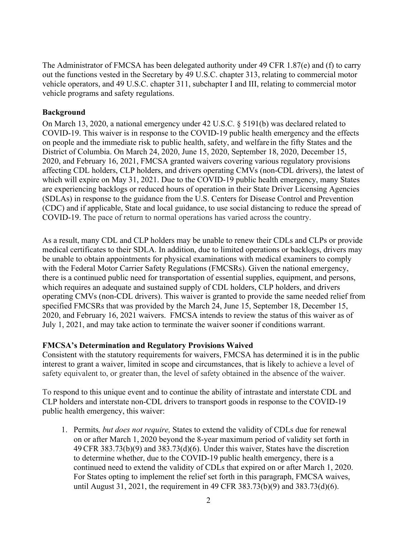The Administrator of FMCSA has been delegated authority under 49 CFR 1.87(e) and (f) to carry out the functions vested in the Secretary by 49 U.S.C. chapter 313, relating to commercial motor vehicle operators, and 49 U.S.C. chapter 311, subchapter I and III, relating to commercial motor vehicle programs and safety regulations.

### **Background**

On March 13, 2020, a national emergency under 42 U.S.C. § 5191(b) was declared related to COVID-19. This waiver is in response to the COVID-19 public health emergency and the effects on people and the immediate risk to public health, safety, and welfarein the fifty States and the District of Columbia. On March 24, 2020, June 15, 2020, September 18, 2020, December 15, 2020, and February 16, 2021, FMCSA granted waivers covering various regulatory provisions affecting CDL holders, CLP holders, and drivers operating CMVs (non-CDL drivers), the latest of which will expire on May 31, 2021. Due to the COVID-19 public health emergency, many States are experiencing backlogs or reduced hours of operation in their State Driver Licensing Agencies (SDLAs) in response to the guidance from the U.S. Centers for Disease Control and Prevention (CDC) and if applicable, State and local guidance, to use social distancing to reduce the spread of COVID-19. The pace of return to normal operations has varied across the country.

As a result, many CDL and CLP holders may be unable to renew their CDLs and CLPs or provide medical certificates to their SDLA. In addition, due to limited operations or backlogs, drivers may be unable to obtain appointments for physical examinations with medical examiners to comply with the Federal Motor Carrier Safety Regulations (FMCSRs). Given the national emergency, there is a continued public need for transportation of essential supplies, equipment, and persons, which requires an adequate and sustained supply of CDL holders, CLP holders, and drivers operating CMVs (non-CDL drivers). This waiver is granted to provide the same needed relief from specified FMCSRs that was provided by the March 24, June 15, September 18, December 15, 2020, and February 16, 2021 waivers. FMCSA intends to review the status of this waiver as of July 1, 2021, and may take action to terminate the waiver sooner if conditions warrant.

#### **FMCSA's Determination and Regulatory Provisions Waived**

Consistent with the statutory requirements for waivers, FMCSA has determined it is in the public interest to grant a waiver, limited in scope and circumstances, that is likely to achieve a level of safety equivalent to, or greater than, the level of safety obtained in the absence of the waiver.

To respond to this unique event and to continue the ability of intrastate and interstate CDL and CLP holders and interstate non-CDL drivers to transport goods in response to the COVID-19 public health emergency, this waiver:

1. Permits*, but does not require,* States to extend the validity of CDLs due for renewal on or after March 1, 2020 beyond the 8-year maximum period of validity set forth in 49 CFR 383.73(b)(9) and 383.73(d)(6). Under this waiver, States have the discretion to determine whether, due to the COVID-19 public health emergency, there is a continued need to extend the validity of CDLs that expired on or after March 1, 2020. For States opting to implement the relief set forth in this paragraph, FMCSA waives, until August 31, 2021, the requirement in 49 CFR 383.73(b)(9) and 383.73(d)(6).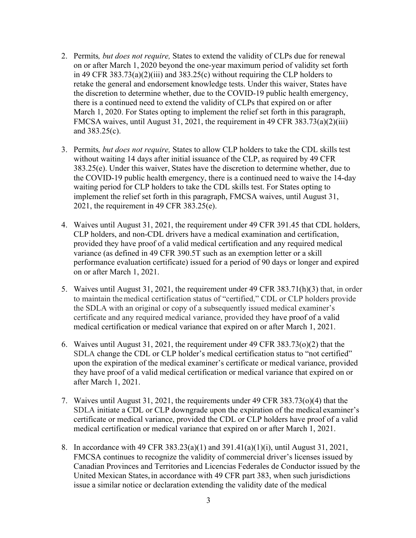- 2. Permits*, but does not require,* States to extend the validity of CLPs due for renewal on or after March 1, 2020 beyond the one-year maximum period of validity set forth in 49 CFR 383.73(a)(2)(iii) and 383.25(c) without requiring the CLP holders to retake the general and endorsement knowledge tests. Under this waiver, States have the discretion to determine whether, due to the COVID-19 public health emergency, there is a continued need to extend the validity of CLPs that expired on or after March 1, 2020. For States opting to implement the relief set forth in this paragraph, FMCSA waives, until August 31, 2021, the requirement in 49 CFR 383.73(a)(2)(iii) and 383.25(c).
- 3. Permits*, but does not require,* States to allow CLP holders to take the CDL skills test without waiting 14 days after initial issuance of the CLP, as required by 49 CFR 383.25(e). Under this waiver, States have the discretion to determine whether, due to the COVID-19 public health emergency, there is a continued need to waive the 14-day waiting period for CLP holders to take the CDL skills test. For States opting to implement the relief set forth in this paragraph, FMCSA waives, until August 31, 2021, the requirement in 49 CFR 383.25(e).
- 4. Waives until August 31, 2021, the requirement under 49 CFR 391.45 that CDL holders, CLP holders, and non-CDL drivers have a medical examination and certification, provided they have proof of a valid medical certification and any required medical variance (as defined in 49 CFR 390.5T such as an exemption letter or a skill performance evaluation certificate) issued for a period of 90 days or longer and expired on or after March 1, 2021.
- 5. Waives until August 31, 2021, the requirement under 49 CFR 383.71(h)(3) that, in order to maintain themedical certification status of "certified," CDL or CLP holders provide the SDLA with an original or copy of a subsequently issued medical examiner's certificate and any required medical variance, provided they have proof of a valid medical certification or medical variance that expired on or after March 1, 2021.
- 6. Waives until August 31, 2021, the requirement under 49 CFR 383.73(o)(2) that the SDLA change the CDL or CLP holder's medical certification status to "not certified" upon the expiration of the medical examiner's certificate or medical variance, provided they have proof of a valid medical certification or medical variance that expired on or after March 1, 2021.
- 7. Waives until August 31, 2021, the requirements under 49 CFR 383.73(o)(4) that the SDLA initiate a CDL or CLP downgrade upon the expiration of the medical examiner's certificate or medical variance, provided the CDL or CLP holders have proof of a valid medical certification or medical variance that expired on or after March 1, 2021.
- 8. In accordance with 49 CFR 383.23(a)(1) and 391.41(a)(1)(i), until August 31, 2021, FMCSA continues to recognize the validity of commercial driver's licenses issued by Canadian Provinces and Territories and Licencias Federales de Conductor issued by the United Mexican States,in accordance with 49 CFR part 383, when such jurisdictions issue a similar notice or declaration extending the validity date of the medical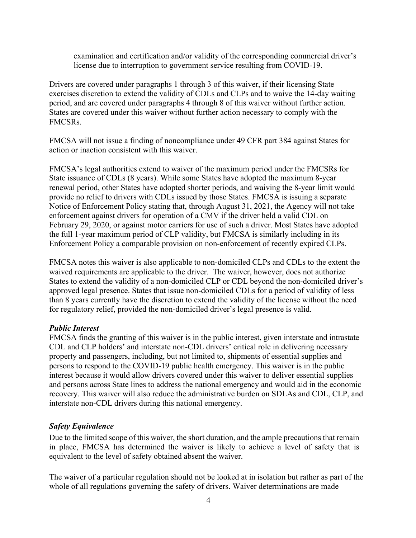examination and certification and/or validity of the corresponding commercial driver's license due to interruption to government service resulting from COVID-19.

Drivers are covered under paragraphs 1 through 3 of this waiver, if their licensing State exercises discretion to extend the validity of CDLs and CLPs and to waive the 14-day waiting period, and are covered under paragraphs 4 through 8 of this waiver without further action. States are covered under this waiver without further action necessary to comply with the FMCSRs.

FMCSA will not issue a finding of noncompliance under 49 CFR part 384 against States for action or inaction consistent with this waiver.

FMCSA's legal authorities extend to waiver of the maximum period under the FMCSRs for State issuance of CDLs (8 years). While some States have adopted the maximum 8-year renewal period, other States have adopted shorter periods, and waiving the 8-year limit would provide no relief to drivers with CDLs issued by those States. FMCSA is issuing a separate Notice of Enforcement Policy stating that, through August 31, 2021, the Agency will not take enforcement against drivers for operation of a CMV if the driver held a valid CDL on February 29, 2020, or against motor carriers for use of such a driver. Most States have adopted the full 1-year maximum period of CLP validity, but FMCSA is similarly including in its Enforcement Policy a comparable provision on non-enforcement of recently expired CLPs.

FMCSA notes this waiver is also applicable to non-domiciled CLPs and CDLs to the extent the waived requirements are applicable to the driver. The waiver, however, does not authorize States to extend the validity of a non-domiciled CLP or CDL beyond the non-domiciled driver's approved legal presence. States that issue non-domiciled CDLs for a period of validity of less than 8 years currently have the discretion to extend the validity of the license without the need for regulatory relief, provided the non-domiciled driver's legal presence is valid.

#### *Public Interest*

FMCSA finds the granting of this waiver is in the public interest, given interstate and intrastate CDL and CLP holders' and interstate non-CDL drivers' critical role in delivering necessary property and passengers, including, but not limited to, shipments of essential supplies and persons to respond to the COVID-19 public health emergency. This waiver is in the public interest because it would allow drivers covered under this waiver to deliver essential supplies and persons across State lines to address the national emergency and would aid in the economic recovery. This waiver will also reduce the administrative burden on SDLAs and CDL, CLP, and interstate non-CDL drivers during this national emergency.

#### *Safety Equivalence*

Due to the limited scope of this waiver, the short duration, and the ample precautions that remain in place, FMCSA has determined the waiver is likely to achieve a level of safety that is equivalent to the level of safety obtained absent the waiver.

The waiver of a particular regulation should not be looked at in isolation but rather as part of the whole of all regulations governing the safety of drivers. Waiver determinations are made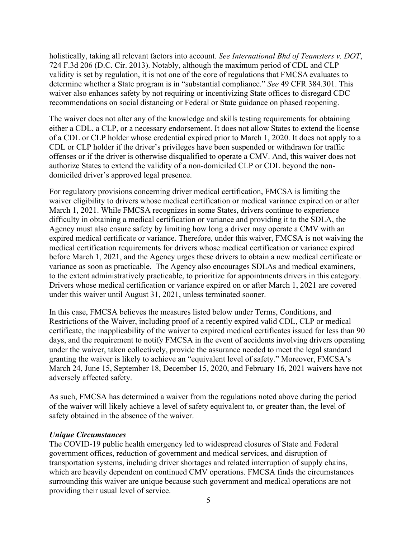holistically, taking all relevant factors into account. *See International Bhd of Teamsters v. DOT*, 724 F.3d 206 (D.C. Cir. 2013). Notably, although the maximum period of CDL and CLP validity is set by regulation, it is not one of the core of regulations that FMCSA evaluates to determine whether a State program is in "substantial compliance." *See* 49 CFR 384.301. This waiver also enhances safety by not requiring or incentivizing State offices to disregard CDC recommendations on social distancing or Federal or State guidance on phased reopening.

The waiver does not alter any of the knowledge and skills testing requirements for obtaining either a CDL, a CLP, or a necessary endorsement. It does not allow States to extend the license of a CDL or CLP holder whose credential expired prior to March 1, 2020. It does not apply to a CDL or CLP holder if the driver's privileges have been suspended or withdrawn for traffic offenses or if the driver is otherwise disqualified to operate a CMV. And, this waiver does not authorize States to extend the validity of a non-domiciled CLP or CDL beyond the nondomiciled driver's approved legal presence.

For regulatory provisions concerning driver medical certification, FMCSA is limiting the waiver eligibility to drivers whose medical certification or medical variance expired on or after March 1, 2021. While FMCSA recognizes in some States, drivers continue to experience difficulty in obtaining a medical certification or variance and providing it to the SDLA, the Agency must also ensure safety by limiting how long a driver may operate a CMV with an expired medical certificate or variance. Therefore, under this waiver, FMCSA is not waiving the medical certification requirements for drivers whose medical certification or variance expired before March 1, 2021, and the Agency urges these drivers to obtain a new medical certificate or variance as soon as practicable. The Agency also encourages SDLAs and medical examiners, to the extent administratively practicable, to prioritize for appointments drivers in this category. Drivers whose medical certification or variance expired on or after March 1, 2021 are covered under this waiver until August 31, 2021, unless terminated sooner.

In this case, FMCSA believes the measures listed below under Terms, Conditions, and Restrictions of the Waiver, including proof of a recently expired valid CDL, CLP or medical certificate, the inapplicability of the waiver to expired medical certificates issued for less than 90 days, and the requirement to notify FMCSA in the event of accidents involving drivers operating under the waiver, taken collectively, provide the assurance needed to meet the legal standard granting the waiver is likely to achieve an "equivalent level of safety." Moreover, FMCSA's March 24, June 15, September 18, December 15, 2020, and February 16, 2021 waivers have not adversely affected safety.

As such, FMCSA has determined a waiver from the regulations noted above during the period of the waiver will likely achieve a level of safety equivalent to, or greater than, the level of safety obtained in the absence of the waiver.

#### *Unique Circumstances*

The COVID-19 public health emergency led to widespread closures of State and Federal government offices, reduction of government and medical services, and disruption of transportation systems, including driver shortages and related interruption of supply chains, which are heavily dependent on continued CMV operations. FMCSA finds the circumstances surrounding this waiver are unique because such government and medical operations are not providing their usual level of service.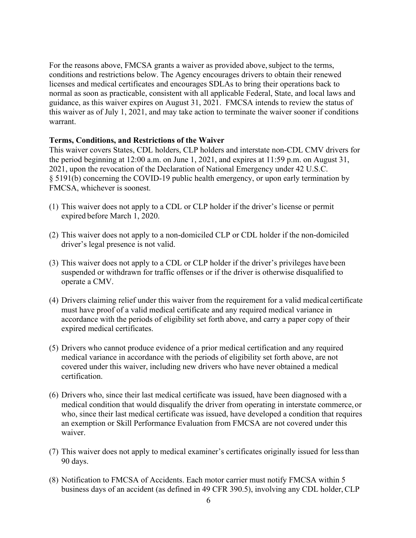For the reasons above, FMCSA grants a waiver as provided above, subject to the terms, conditions and restrictions below. The Agency encourages drivers to obtain their renewed licenses and medical certificates and encourages SDLAs to bring their operations back to normal as soon as practicable, consistent with all applicable Federal, State, and local laws and guidance, as this waiver expires on August 31, 2021. FMCSA intends to review the status of this waiver as of July 1, 2021, and may take action to terminate the waiver sooner if conditions warrant.

#### **Terms, Conditions, and Restrictions of the Waiver**

This waiver covers States, CDL holders, CLP holders and interstate non-CDL CMV drivers for the period beginning at 12:00 a.m. on June 1, 2021, and expires at 11:59 p.m. on August 31, 2021, upon the revocation of the Declaration of National Emergency under 42 U.S.C. § 5191(b) concerning the COVID-19 public health emergency, or upon early termination by FMCSA, whichever is soonest.

- (1) This waiver does not apply to a CDL or CLP holder if the driver's license or permit expired before March 1, 2020.
- (2) This waiver does not apply to a non-domiciled CLP or CDL holder if the non-domiciled driver's legal presence is not valid.
- (3) This waiver does not apply to a CDL or CLP holder if the driver's privileges have been suspended or withdrawn for traffic offenses or if the driver is otherwise disqualified to operate a CMV.
- (4) Drivers claiming relief under this waiver from the requirement for a valid medical certificate must have proof of a valid medical certificate and any required medical variance in accordance with the periods of eligibility set forth above, and carry a paper copy of their expired medical certificates.
- (5) Drivers who cannot produce evidence of a prior medical certification and any required medical variance in accordance with the periods of eligibility set forth above, are not covered under this waiver, including new drivers who have never obtained a medical certification.
- (6) Drivers who, since their last medical certificate was issued, have been diagnosed with a medical condition that would disqualify the driver from operating in interstate commerce, or who, since their last medical certificate was issued, have developed a condition that requires an exemption or Skill Performance Evaluation from FMCSA are not covered under this waiver.
- (7) This waiver does not apply to medical examiner's certificates originally issued for lessthan 90 days.
- (8) Notification to FMCSA of Accidents. Each motor carrier must notify FMCSA within 5 business days of an accident (as defined in 49 CFR 390.5), involving any CDL holder, CLP